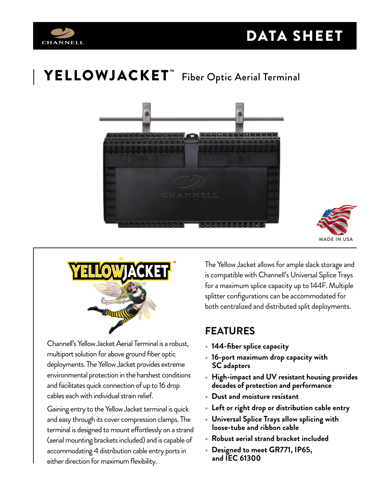

# $\parallel \,$  <code>YELLOWJACKET</code>  $\bar{\,}$  Fiber Optic Aerial Terminal







Channell's Yellow Jacket Aerial Terminal is a robust, multiport solution for above ground fiber optic deployments. The Yellow Jacket provides extreme environmental protection in the harshest conditions and facilitates quick connection of up to 16 drop cables each with individual strain relief.

Gaining entry to the Yellow Jacket terminal is quick and easy through its cover compression clamps. The terminal is designed to mount effortlessly on a strand (aerial mounting brackets included) and is capable of accommodating 4 distribution cable entry ports in either direction for maximum flexibility.

The Yellow Jacket allows for ample slack storage and is compatible with Channell's Universal Splice Trays for a maximum splice capacity up to 144F. Multiple splitter configurations can be accommodated for both centralized and distributed split deployments.

### **FEATURES**

- **144-fiber splice capacity**
- **16-port maximum drop capacity with SC adapters**
- **High-impact and UV resistant housing provides decades of protection and performance**
- **Dust and moisture resistant**
- **Left or right drop or distribution cable entry**
- **Universal Splice Trays allow splicing with loose-tube and ribbon cable**
- **Robust aerial strand bracket included**
- **Designed to meet GR771, IP65, and IEC 61300**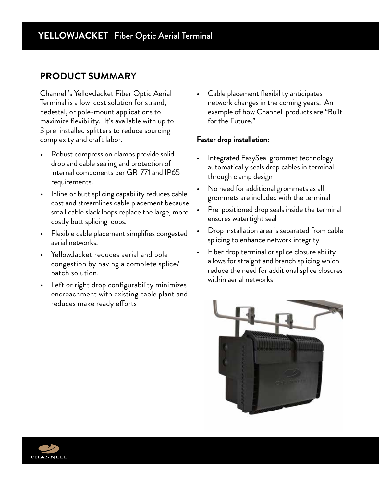#### **PRODUCT SUMMARY**

Channell's YellowJacket Fiber Optic Aerial Terminal is a low-cost solution for strand, pedestal, or pole-mount applications to maximize flexibility. It's available with up to 3 pre-installed splitters to reduce sourcing complexity and craft labor.

- Robust compression clamps provide solid drop and cable sealing and protection of internal components per GR-771 and IP65 requirements.
- Inline or butt splicing capability reduces cable cost and streamlines cable placement because small cable slack loops replace the large, more costly butt splicing loops.
- Flexible cable placement simplifies congested aerial networks.
- YellowJacket reduces aerial and pole congestion by having a complete splice/ patch solution.
- Left or right drop configurability minimizes encroachment with existing cable plant and reduces make ready efforts

• Cable placement flexibility anticipates network changes in the coming years. An example of how Channell products are "Built for the Future."

#### **Faster drop installation:**

- Integrated EasySeal grommet technology automatically seals drop cables in terminal through clamp design
- No need for additional grommets as all grommets are included with the terminal
- Pre-positioned drop seals inside the terminal ensures watertight seal
- Drop installation area is separated from cable splicing to enhance network integrity
- Fiber drop terminal or splice closure ability allows for straight and branch splicing which reduce the need for additional splice closures within aerial networks



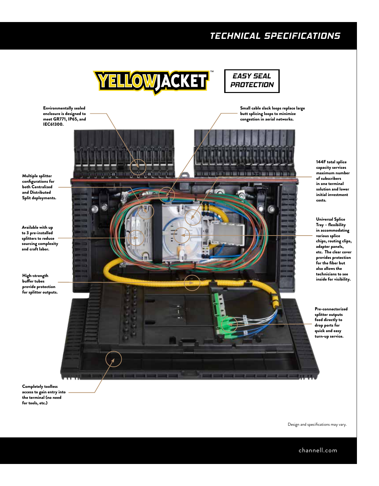#### *TECHNICAL SPECIFICATIONS*

Small cable slack loops replace large butt splicing loops to minimize congestion in aerial networks.





Environmentally sealed enclosure is designed to meet GR771, IP65, and IEC61300.

Multiple splitter configurations for both Centralized and Distributed Split deployments.

Available with up to 3 pre-installed splitters to reduce sourcing complexity and craft labor.

High-strength buffer tubes provide protection for splitter outputs.



144F total splice capacity services maximum number of subscribers in one terminal solution and lower initial investment costs.

Universal Splice Tray – flexibility in accommodating various splice chips, routing clips, adapter panels, etc. The clear cover provides protection for the fiber but also allows the technicians to see inside for visibility.

Pre-connectorized splitter outputs feed directly to drop ports for quick and easy turn-up service.

Completely toolless access to gain entry into the terminal (no need for tools, etc.)

Design and specifications may vary.

channell.com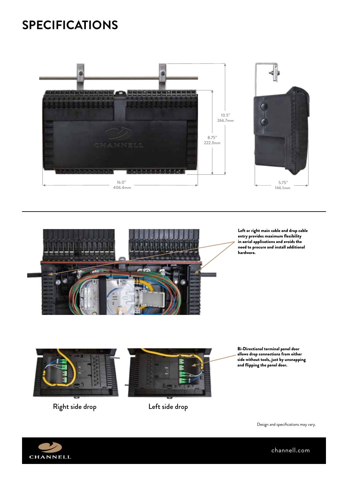## **SPECIFICATIONS**





Left or right main cable and drop cable entry provides maximum flexibility in aerial applications and avoids the need to procure and install additional hardware.



Right side drop Left side drop



Bi-Directional terminal panel door allows drop connections from either side without tools, just by unsnapping and flipping the panel door.

Design and specifications may vary.



channell.com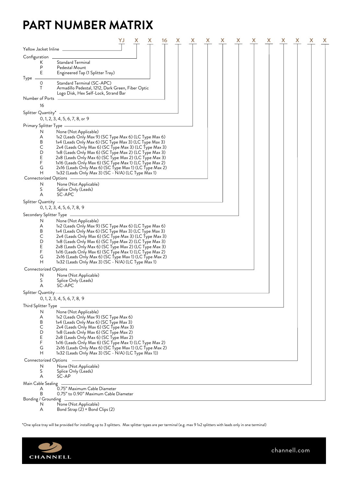## **PART NUMBER MATRIX**

|               |                                   |                                                                                                                   | YJ |  | х | 16 |  | X | х | х | Х | х |  | х | x |
|---------------|-----------------------------------|-------------------------------------------------------------------------------------------------------------------|----|--|---|----|--|---|---|---|---|---|--|---|---|
|               | Yellow Jacket Inline _            |                                                                                                                   |    |  |   |    |  |   |   |   |   |   |  |   |   |
| Configuration |                                   |                                                                                                                   |    |  |   |    |  |   |   |   |   |   |  |   |   |
|               | Κ<br>P<br>Ε                       | Standard Terminal<br>Pedestal Mount<br>Engineered Tap (1 Splitter Tray)                                           |    |  |   |    |  |   |   |   |   |   |  |   |   |
| Type          | 0<br>Τ                            | Standard Terminal (SC-APC)<br>Armadillo Pedestal, 1212, Dark Green, Fiber Optic                                   |    |  |   |    |  |   |   |   |   |   |  |   |   |
|               |                                   | Logo Disk, Hex Self-Lock, Strand Bar                                                                              |    |  |   |    |  |   |   |   |   |   |  |   |   |
|               | Number of Ports                   |                                                                                                                   |    |  |   |    |  |   |   |   |   |   |  |   |   |
|               | 16                                |                                                                                                                   |    |  |   |    |  |   |   |   |   |   |  |   |   |
|               |                                   | Splitter Quantity* ———                                                                                            |    |  |   |    |  |   |   |   |   |   |  |   |   |
|               |                                   | $0, 1, 2, 3, 4, 5, 6, 7, 8,$ or 9                                                                                 |    |  |   |    |  |   |   |   |   |   |  |   |   |
|               | Primary Splitter Type –           |                                                                                                                   |    |  |   |    |  |   |   |   |   |   |  |   |   |
|               | N<br>Α                            | None (Not Applicable)<br>1x2 (Leads Only Max 9) (SC Type Max 6) (LC Type Max 6)                                   |    |  |   |    |  |   |   |   |   |   |  |   |   |
|               | B                                 | 1x4 (Leads Only Max 6) (SC Type Max 3) (LC Type Max 3)                                                            |    |  |   |    |  |   |   |   |   |   |  |   |   |
|               | С                                 | 2x4 (Leads Only Max 6) (SC Type Max 3) (LC Type Max 3)                                                            |    |  |   |    |  |   |   |   |   |   |  |   |   |
|               | D<br>Ε                            | 1x8 (Leads Only Max 6) (SC Type Max 2) (LC Type Max 3)                                                            |    |  |   |    |  |   |   |   |   |   |  |   |   |
|               | F                                 | 2x8 (Leads Only Max 6) (SC Type Max 2) (LC Type Max 3)<br>1x16 (Leads Only Max 6) (SC Type Max 1) (LC Type Max 2) |    |  |   |    |  |   |   |   |   |   |  |   |   |
|               | G                                 | 2x16 (Leads Only Max 6) (SC Type Max 1) (LC Type Max 2)                                                           |    |  |   |    |  |   |   |   |   |   |  |   |   |
|               | Н                                 | 1x32 (Leads Only Max 3) (SC - N/A) (LC Type Max 1)                                                                |    |  |   |    |  |   |   |   |   |   |  |   |   |
|               | Connectorized Options             |                                                                                                                   |    |  |   |    |  |   |   |   |   |   |  |   |   |
|               | N<br>S                            | None (Not Applicable)<br>Splice Only (Leads)                                                                      |    |  |   |    |  |   |   |   |   |   |  |   |   |
|               | A                                 | SC-APC                                                                                                            |    |  |   |    |  |   |   |   |   |   |  |   |   |
|               | Splitter Quantity —               |                                                                                                                   |    |  |   |    |  |   |   |   |   |   |  |   |   |
|               |                                   | 0, 1, 2, 3, 4, 5, 6, 7, 8, 9                                                                                      |    |  |   |    |  |   |   |   |   |   |  |   |   |
|               |                                   | Secondary Splitter Type -                                                                                         |    |  |   |    |  |   |   |   |   |   |  |   |   |
|               | N                                 | None (Not Applicable)                                                                                             |    |  |   |    |  |   |   |   |   |   |  |   |   |
|               | Α                                 | 1x2 (Leads Only Max 9) (SC Type Max 6) (LC Type Max 6)                                                            |    |  |   |    |  |   |   |   |   |   |  |   |   |
|               | B                                 | 1x4 (Leads Only Max 6) (SC Type Max 3) (LC Type Max 3)                                                            |    |  |   |    |  |   |   |   |   |   |  |   |   |
|               | С<br>D                            | 2x4 (Leads Only Max 6) (SC Type Max 3) (LC Type Max 3)<br>1x8 (Leads Only Max 6) (SC Type Max 2) (LC Type Max 3)  |    |  |   |    |  |   |   |   |   |   |  |   |   |
|               | Ε                                 | 2x8 (Leads Only Max 6) (SC Type Max 2) (LC Type Max 3)                                                            |    |  |   |    |  |   |   |   |   |   |  |   |   |
|               | F                                 | 1x16 (Leads Only Max 6) (SC Type Max 1) (LC Type Max 2)                                                           |    |  |   |    |  |   |   |   |   |   |  |   |   |
|               | G<br>Н                            | 2x16 (Leads Only Max 6) (SC Type Max 1) (LC Type Max 2)                                                           |    |  |   |    |  |   |   |   |   |   |  |   |   |
|               |                                   | 1x32 (Leads Only Max 3) (SC - N/A) (LC Type Max 1)                                                                |    |  |   |    |  |   |   |   |   |   |  |   |   |
|               | Connectorized Options<br>N        |                                                                                                                   |    |  |   |    |  |   |   |   |   |   |  |   |   |
|               | S                                 | None (Not Applicable)<br>Splice Only (Leads)                                                                      |    |  |   |    |  |   |   |   |   |   |  |   |   |
|               | A                                 | SC-APC                                                                                                            |    |  |   |    |  |   |   |   |   |   |  |   |   |
|               | Splitter Quantity ——              |                                                                                                                   |    |  |   |    |  |   |   |   |   |   |  |   |   |
|               |                                   | 0, 1, 2, 3, 4, 5, 6, 7, 8, 9                                                                                      |    |  |   |    |  |   |   |   |   |   |  |   |   |
|               | Third Splitter Type $\mathcal{L}$ |                                                                                                                   |    |  |   |    |  |   |   |   |   |   |  |   |   |
|               |                                   | N None (Not Applicable)                                                                                           |    |  |   |    |  |   |   |   |   |   |  |   |   |
|               | Α                                 | 1x2 (Leads Only Max 9) (SC Type Max 6)                                                                            |    |  |   |    |  |   |   |   |   |   |  |   |   |
|               | B<br>C                            | 1x4 (Leads Only Max 6) (SC Type Max 3)<br>2x4 (Leads Only Max 6) (SC Type Max 3)                                  |    |  |   |    |  |   |   |   |   |   |  |   |   |
|               | D                                 | 1x8 (Leads Only Max 6) (SC Type Max 2)                                                                            |    |  |   |    |  |   |   |   |   |   |  |   |   |
|               | Ε                                 | 2x8 (Leads Only Max 6) (SC Type Max 2)                                                                            |    |  |   |    |  |   |   |   |   |   |  |   |   |
|               | F                                 | 1x16 (Leads Only Max 6) (SC Type Max 1) (LC Type Max 2)                                                           |    |  |   |    |  |   |   |   |   |   |  |   |   |
|               | G<br>Н                            | 2x16 (Leads Only Max 6) (SC Type Max 1) (LC Type Max 2)<br>1x32 (Leads Only Max 3) (SC - N/A) (LC Type Max 1))    |    |  |   |    |  |   |   |   |   |   |  |   |   |
|               |                                   |                                                                                                                   |    |  |   |    |  |   |   |   |   |   |  |   |   |
|               | Connectorized Options<br>N        | None (Not Applicable)                                                                                             |    |  |   |    |  |   |   |   |   |   |  |   |   |
|               | S                                 | Splice Only (Leads)                                                                                               |    |  |   |    |  |   |   |   |   |   |  |   |   |
|               | А                                 | SC-AP                                                                                                             |    |  |   |    |  |   |   |   |   |   |  |   |   |
|               | Main Cable Sealing                |                                                                                                                   |    |  |   |    |  |   |   |   |   |   |  |   |   |
|               | A                                 | 0.75" Maximum Cable Diameter                                                                                      |    |  |   |    |  |   |   |   |   |   |  |   |   |
|               | B<br>Bonding / Grounding          | 0.75" to 0.90" Maximum Cable Diameter                                                                             |    |  |   |    |  |   |   |   |   |   |  |   |   |
|               | N                                 | None (Not Applicable)                                                                                             |    |  |   |    |  |   |   |   |   |   |  |   |   |

A Bond Strap (2) + Bond Clips (2)

\*One splice tray will be provided for installing up to 3 splitters. Max splitter types are per terminal (e.g. max 9 1x2 splitters with leads only in one terminal)



channell.com